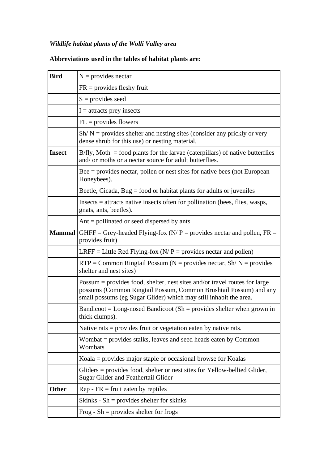## *Wildlife habitat plants of the Wolli Valley area*

| <b>Bird</b>   | $N =$ provides nectar                                                                                                                                                                                                |
|---------------|----------------------------------------------------------------------------------------------------------------------------------------------------------------------------------------------------------------------|
|               | $FR =$ provides fleshy fruit                                                                                                                                                                                         |
|               | $S =$ provides seed                                                                                                                                                                                                  |
|               | $I =$ attracts prey insects                                                                                                                                                                                          |
|               | $FL =$ provides flowers                                                                                                                                                                                              |
|               | $Sh/N =$ provides shelter and nesting sites (consider any prickly or very<br>dense shrub for this use) or nesting material.                                                                                          |
| <b>Insect</b> | $B/fly$ , Moth = food plants for the larvae (caterpillars) of native butterflies<br>and/ or moths or a nectar source for adult butterflies.                                                                          |
|               | $Bee =$ provides nectar, pollen or nest sites for native bees (not European<br>Honeybees).                                                                                                                           |
|               | Beetle, Cicada, Bug = food or habitat plants for adults or juveniles                                                                                                                                                 |
|               | $Insects = attracts native insects often for pollution (bees, flies, wasps,$<br>gnats, ants, beetles).                                                                                                               |
|               | Ant $=$ pollinated or seed dispersed by ants                                                                                                                                                                         |
| <b>Mammal</b> | GHFF = Grey-headed Flying-fox ( $N/P$ = provides nectar and pollen, FR =<br>provides fruit)                                                                                                                          |
|               | LRFF = Little Red Flying-fox ( $N/P$ = provides nectar and pollen)                                                                                                                                                   |
|               | $RTP = Common Ringtail \text{ Possum } (N = provides nectar, Sh/N = provides$<br>shelter and nest sites)                                                                                                             |
|               | Possum = provides food, shelter, nest sites and/or travel routes for large<br>possums (Common Ringtail Possum, Common Brushtail Possum) and any<br>small possums (eg Sugar Glider) which may still inhabit the area. |
|               | Bandicoot = Long-nosed Bandicoot (Sh = provides shelter when grown in<br>thick clumps).                                                                                                                              |
|               | Native rats $=$ provides fruit or vegetation eaten by native rats.                                                                                                                                                   |
|               | Wombat = provides stalks, leaves and seed heads eaten by Common<br>Wombats                                                                                                                                           |
|               | Koala $=$ provides major staple or occasional browse for Koalas                                                                                                                                                      |
|               | Gliders = provides food, shelter or nest sites for Yellow-bellied Glider,<br>Sugar Glider and Feathertail Glider                                                                                                     |
| <b>Other</b>  | $Rep - FR = fruit$ eaten by reptiles                                                                                                                                                                                 |
|               | Skinks - Sh = provides shelter for skinks                                                                                                                                                                            |
|               | Frog - $Sh =$ provides shelter for frogs                                                                                                                                                                             |

## **Abbreviations used in the tables of habitat plants are:**